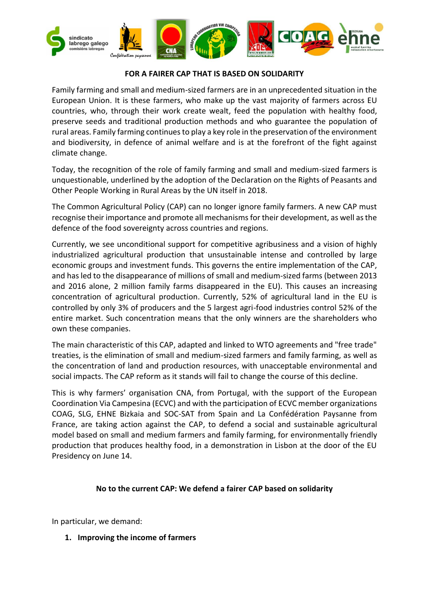

## **FOR A FAIRER CAP THAT IS BASED ON SOLIDARITY**

Family farming and small and medium-sized farmers are in an unprecedented situation in the European Union. It is these farmers, who make up the vast majority of farmers across EU countries, who, through their work create wealt, feed the population with healthy food, preserve seeds and traditional production methods and who guarantee the population of rural areas. Family farming continues to play a key role in the preservation of the environment and biodiversity, in defence of animal welfare and is at the forefront of the fight against climate change.

Today, the recognition of the role of family farming and small and medium-sized farmers is unquestionable, underlined by the adoption of the Declaration on the Rights of Peasants and Other People Working in Rural Areas by the UN itself in 2018.

The Common Agricultural Policy (CAP) can no longer ignore family farmers. A new CAP must recognise their importance and promote all mechanisms for their development, as well as the defence of the food sovereignty across countries and regions.

Currently, we see unconditional support for competitive agribusiness and a vision of highly industrialized agricultural production that unsustainable intense and controlled by large economic groups and investment funds. This governs the entire implementation of the CAP, and has led to the disappearance of millions of small and medium-sized farms (between 2013 and 2016 alone, 2 million family farms disappeared in the EU). This causes an increasing concentration of agricultural production. Currently, 52% of agricultural land in the EU is controlled by only 3% of producers and the 5 largest agri-food industries control 52% of the entire market. Such concentration means that the only winners are the shareholders who own these companies.

The main characteristic of this CAP, adapted and linked to WTO agreements and "free trade" treaties, is the elimination of small and medium-sized farmers and family farming, as well as the concentration of land and production resources, with unacceptable environmental and social impacts. The CAP reform as it stands will fail to change the course of this decline.

This is why farmers' organisation CNA, from Portugal, with the support of the European Coordination Via Campesina (ECVC) and with the participation of ECVC member organizations COAG, SLG, EHNE Bizkaia and SOC-SAT from Spain and La Confédération Paysanne from France, are taking action against the CAP, to defend a social and sustainable agricultural model based on small and medium farmers and family farming, for environmentally friendly production that produces healthy food, in a demonstration in Lisbon at the door of the EU Presidency on June 14.

## **No to the current CAP: We defend a fairer CAP based on solidarity**

In particular, we demand:

**1. Improving the income of farmers**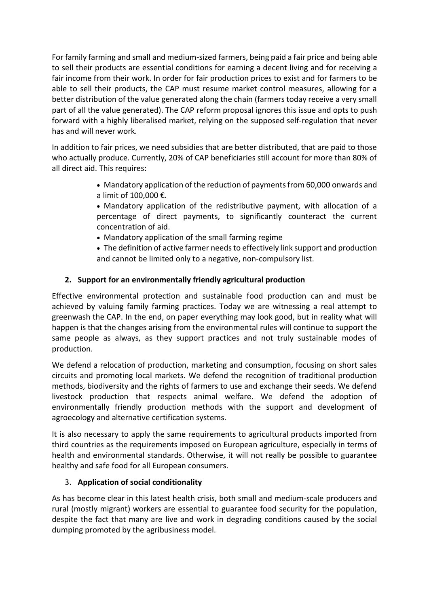For family farming and small and medium-sized farmers, being paid a fair price and being able to sell their products are essential conditions for earning a decent living and for receiving a fair income from their work. In order for fair production prices to exist and for farmers to be able to sell their products, the CAP must resume market control measures, allowing for a better distribution of the value generated along the chain (farmers today receive a very small part of all the value generated). The CAP reform proposal ignores this issue and opts to push forward with a highly liberalised market, relying on the supposed self-regulation that never has and will never work.

In addition to fair prices, we need subsidies that are better distributed, that are paid to those who actually produce. Currently, 20% of CAP beneficiaries still account for more than 80% of all direct aid. This requires:

- Mandatory application of the reduction of payments from 60,000 onwards and a limit of 100,000 €.
- Mandatory application of the redistributive payment, with allocation of a percentage of direct payments, to significantly counteract the current concentration of aid.
- Mandatory application of the small farming regime
- The definition of active farmer needsto effectively link support and production and cannot be limited only to a negative, non-compulsory list.

## **2. Support for an environmentally friendly agricultural production**

Effective environmental protection and sustainable food production can and must be achieved by valuing family farming practices. Today we are witnessing a real attempt to greenwash the CAP. In the end, on paper everything may look good, but in reality what will happen is that the changes arising from the environmental rules will continue to support the same people as always, as they support practices and not truly sustainable modes of production.

We defend a relocation of production, marketing and consumption, focusing on short sales circuits and promoting local markets. We defend the recognition of traditional production methods, biodiversity and the rights of farmers to use and exchange their seeds. We defend livestock production that respects animal welfare. We defend the adoption of environmentally friendly production methods with the support and development of agroecology and alternative certification systems.

It is also necessary to apply the same requirements to agricultural products imported from third countries as the requirements imposed on European agriculture, especially in terms of health and environmental standards. Otherwise, it will not really be possible to guarantee healthy and safe food for all European consumers.

## 3. **Application of social conditionality**

As has become clear in this latest health crisis, both small and medium-scale producers and rural (mostly migrant) workers are essential to guarantee food security for the population, despite the fact that many are live and work in degrading conditions caused by the social dumping promoted by the agribusiness model.